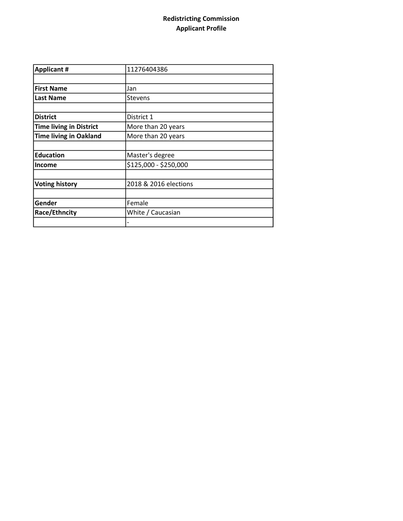## Redistricting Commission Applicant Profile

| <b>Applicant #</b>             | 11276404386           |
|--------------------------------|-----------------------|
|                                |                       |
| <b>First Name</b>              | Jan                   |
| <b>Last Name</b>               | <b>Stevens</b>        |
|                                |                       |
| <b>District</b>                | District 1            |
| <b>Time living in District</b> | More than 20 years    |
| <b>Time living in Oakland</b>  | More than 20 years    |
|                                |                       |
| <b>Education</b>               | Master's degree       |
| <b>Income</b>                  | \$125,000 - \$250,000 |
|                                |                       |
| <b>Voting history</b>          | 2018 & 2016 elections |
|                                |                       |
| Gender                         | Female                |
| Race/Ethncity                  | White / Caucasian     |
|                                |                       |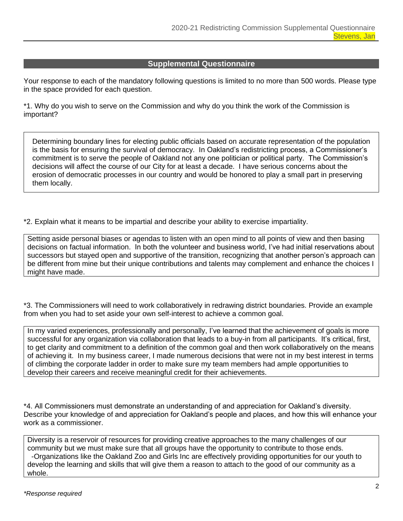## **Supplemental Questionnaire**

Your response to each of the mandatory following questions is limited to no more than 500 words. Please type in the space provided for each question.

\*1. Why do you wish to serve on the Commission and why do you think the work of the Commission is important?

Determining boundary lines for electing public officials based on accurate representation of the population is the basis for ensuring the survival of democracy. In Oakland's redistricting process, a Commissioner's commitment is to serve the people of Oakland not any one politician or political party. The Commission's decisions will affect the course of our City for at least a decade. I have serious concerns about the erosion of democratic processes in our country and would be honored to play a small part in preserving them locally.

\*2. Explain what it means to be impartial and describe your ability to exercise impartiality.

Setting aside personal biases or agendas to listen with an open mind to all points of view and then basing decisions on factual information. In both the volunteer and business world, I've had initial reservations about successors but stayed open and supportive of the transition, recognizing that another person's approach can be different from mine but their unique contributions and talents may complement and enhance the choices I might have made.

\*3. The Commissioners will need to work collaboratively in redrawing district boundaries. Provide an example from when you had to set aside your own self-interest to achieve a common goal.

In my varied experiences, professionally and personally, I've learned that the achievement of goals is more successful for any organization via collaboration that leads to a buy-in from all participants. It's critical, first, to get clarity and commitment to a definition of the common goal and then work collaboratively on the means of achieving it. In my business career, I made numerous decisions that were not in my best interest in terms of climbing the corporate ladder in order to make sure my team members had ample opportunities to develop their careers and receive meaningful credit for their achievements.

\*4. All Commissioners must demonstrate an understanding of and appreciation for Oakland's diversity. Describe your knowledge of and appreciation for Oakland's people and places, and how this will enhance your work as a commissioner.

Diversity is a reservoir of resources for providing creative approaches to the many challenges of our community but we must make sure that all groups have the opportunity to contribute to those ends. -Organizations like the Oakland Zoo and Girls Inc are effectively providing opportunities for our youth to develop the learning and skills that will give them a reason to attach to the good of our community as a whole.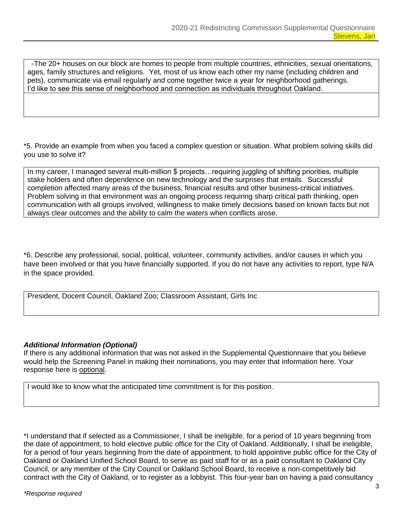-The 20+ houses on our block are homes to people from multiple countries, ethnicities, sexual orientations, ages, family structures and religions. Yet, most of us know each other my name (including children and pets), communicate via email regularly and come together twice a year for neighborhood gatherings. I'd like to see this sense of neighborhood and connection as individuals throughout Oakland.

\*5. Provide an example from when you faced a complex question or situation. What problem solving skills did you use to solve it?

In my career, I managed several multi-million \$ projects…requiring juggling of shifting priorities, multiple stake holders and often dependence on new technology and the surprises that entails. Successful completion affected many areas of the business, financial results and other business-critical initiatives. Problem solving in that environment was an ongoing process requiring sharp critical path thinking, open communication with all groups involved, willingness to make timely decisions based on known facts but not always clear outcomes and the ability to calm the waters when conflicts arose.

\*6. Describe any professional, social, political, volunteer, community activities, and/or causes in which you have been involved or that you have financially supported. If you do not have any activities to report, type N/A in the space provided.

President, Docent Council, Oakland Zoo; Classroom Assistant, Girls Inc

## *Additional Information (Optional)*

If there is any additional information that was not asked in the Supplemental Questionnaire that you believe would help the Screening Panel in making their nominations, you may enter that information here. Your response here is optional.

I would like to know what the anticipated time commitment is for this position.

\*I understand that if selected as a Commissioner, I shall be ineligible, for a period of 10 years beginning from the date of appointment, to hold elective public office for the City of Oakland. Additionally, I shall be ineligible, for a period of four years beginning from the date of appointment, to hold appointive public office for the City of Oakland or Oakland Unified School Board, to serve as paid staff for or as a paid consultant to Oakland City Council, or any member of the City Council or Oakland School Board, to receive a non-competitively bid contract with the City of Oakland, or to register as a lobbyist. This four-year ban on having a paid consultancy